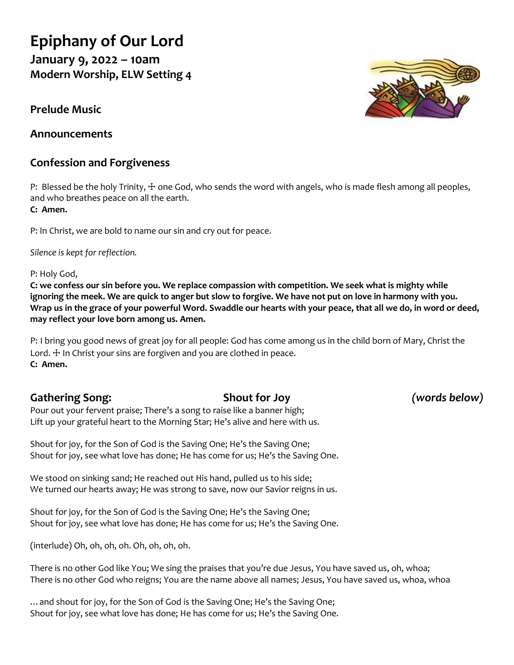# **Epiphany of Our Lord**

**January 9, 2022 – 10am Modern Worship, ELW Setting 4**

**Prelude Music**

**Announcements**

# **Confession and Forgiveness**

P: Blessed be the holy Trinity,  $\pm$  one God, who sends the word with angels, who is made flesh among all peoples, and who breathes peace on all the earth.

**C: Amen.**

P: In Christ, we are bold to name our sin and cry out for peace.

*Silence is kept for reflection.*

P: Holy God,

**C: we confess our sin before you. We replace compassion with competition. We seek what is mighty while ignoring the meek. We are quick to anger but slow to forgive. We have not put on love in harmony with you. Wrap us in the grace of your powerful Word. Swaddle our hearts with your peace, that all we do, in word or deed, may reflect your love born among us. Amen.**

P: I bring you good news of great joy for all people: God has come among us in the child born of Mary, Christ the Lord.  $\pm$  In Christ your sins are forgiven and you are clothed in peace. **C: Amen.**

# **Gathering Song: Shout for Joy** *(words below)*

Pour out your fervent praise; There's a song to raise like a banner high; Lift up your grateful heart to the Morning Star; He's alive and here with us.

Shout for joy, for the Son of God is the Saving One; He's the Saving One; Shout for joy, see what love has done; He has come for us; He's the Saving One.

We stood on sinking sand; He reached out His hand, pulled us to his side; We turned our hearts away; He was strong to save, now our Savior reigns in us.

Shout for joy, for the Son of God is the Saving One; He's the Saving One; Shout for joy, see what love has done; He has come for us; He's the Saving One.

(interlude) Oh, oh, oh, oh. Oh, oh, oh, oh.

There is no other God like You; We sing the praises that you're due Jesus, You have saved us, oh, whoa; There is no other God who reigns; You are the name above all names; Jesus, You have saved us, whoa, whoa

…and shout for joy, for the Son of God is the Saving One; He's the Saving One; Shout for joy, see what love has done; He has come for us; He's the Saving One.

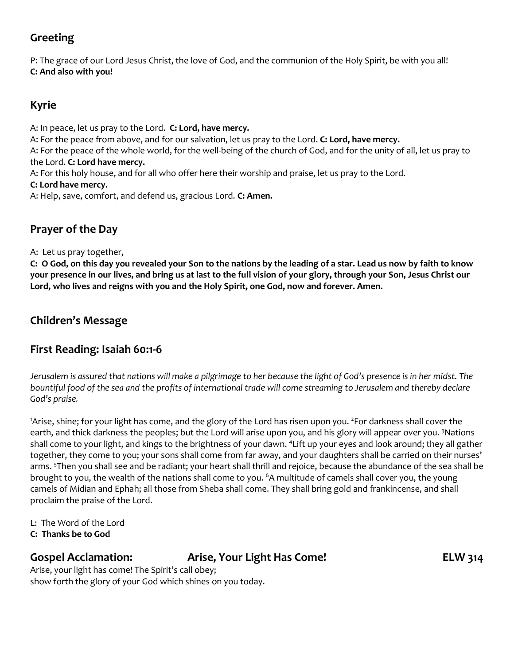# **Greeting**

P: The grace of our Lord Jesus Christ, the love of God, and the communion of the Holy Spirit, be with you all! **C: And also with you!**

# **Kyrie**

A: In peace, let us pray to the Lord. **C: Lord, have mercy.**

A: For the peace from above, and for our salvation, let us pray to the Lord. **C: Lord, have mercy.**

A: For the peace of the whole world, for the well-being of the church of God, and for the unity of all, let us pray to the Lord. **C: Lord have mercy.**

A: For this holy house, and for all who offer here their worship and praise, let us pray to the Lord.

#### **C: Lord have mercy.**

A: Help, save, comfort, and defend us, gracious Lord. **C: Amen.**

# **Prayer of the Day**

A: Let us pray together,

**C: O God, on this day you revealed your Son to the nations by the leading of a star. Lead us now by faith to know your presence in our lives, and bring us at last to the full vision of your glory, through your Son, Jesus Christ our Lord, who lives and reigns with you and the Holy Spirit, one God, now and forever. Amen.**

# **Children's Message**

# **First Reading: Isaiah 60:1-6**

*Jerusalem is assured that nations will make a pilgrimage to her because the light of God's presence is in her midst. The bountiful food of the sea and the profits of international trade will come streaming to Jerusalem and thereby declare God's praise.*

1Arise, shine; for your light has come, and the glory of the Lord has risen upon you. <sup>2</sup>For darkness shall cover the earth, and thick darkness the peoples; but the Lord will arise upon you, and his glory will appear over you. 3Nations shall come to your light, and kings to the brightness of your dawn. <sup>4</sup>Lift up your eyes and look around; they all gather together, they come to you; your sons shall come from far away, and your daughters shall be carried on their nurses' arms. <sup>5</sup>Then you shall see and be radiant; your heart shall thrill and rejoice, because the abundance of the sea shall be brought to you, the wealth of the nations shall come to you. <sup>6</sup>A multitude of camels shall cover you, the young camels of Midian and Ephah; all those from Sheba shall come. They shall bring gold and frankincense, and shall proclaim the praise of the Lord.

- L: The Word of the Lord
- **C: Thanks be to God**

**Gospel Acclamation: Arise, Your Light Has Come! ELW 314**

Arise, your light has come! The Spirit's call obey; show forth the glory of your God which shines on you today.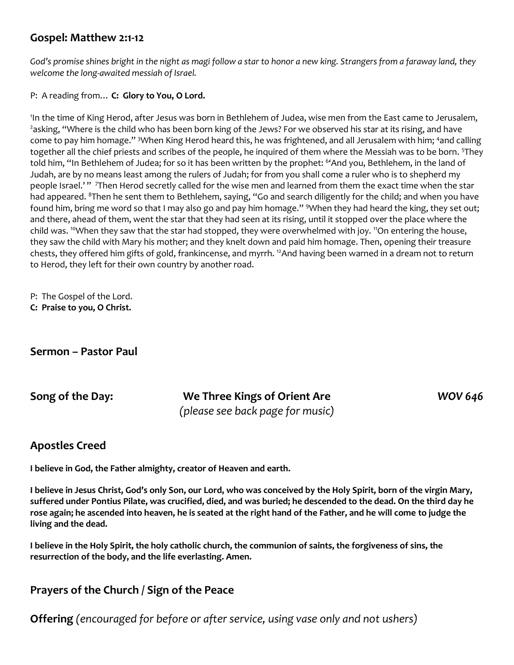## **Gospel: Matthew 2:1-12**

*God's promise shines bright in the night as magi follow a star to honor a new king. Strangers from a faraway land, they welcome the long-awaited messiah of Israel.*

P: A reading from… **C: Glory to You, O Lord.**

1 In the time of King Herod, after Jesus was born in Bethlehem of Judea, wise men from the East came to Jerusalem, <sup>2</sup>asking, "Where is the child who has been born king of the Jews? For we observed his star at its rising, and have come to pay him homage." <sup>3</sup>When King Herod heard this, he was frightened, and all Jerusalem with him; <sup>4</sup>and calling together all the chief priests and scribes of the people, he inquired of them where the Messiah was to be born. <sup>5</sup>They told him, "In Bethlehem of Judea; for so it has been written by the prophet: <sup>6</sup>'And you, Bethlehem, in the land of Judah, are by no means least among the rulers of Judah; for from you shall come a ruler who is to shepherd my people Israel.'" 7Then Herod secretly called for the wise men and learned from them the exact time when the star had appeared. <sup>8</sup>Then he sent them to Bethlehem, saying, "Go and search diligently for the child; and when you have found him, bring me word so that I may also go and pay him homage." <sup>9</sup>When they had heard the king, they set out; and there, ahead of them, went the star that they had seen at its rising, until it stopped over the place where the child was. <sup>10</sup>When they saw that the star had stopped, they were overwhelmed with joy. <sup>11</sup>On entering the house, they saw the child with Mary his mother; and they knelt down and paid him homage. Then, opening their treasure chests, they offered him gifts of gold, frankincense, and myrrh. <sup>12</sup>And having been warned in a dream not to return to Herod, they left for their own country by another road.

P: The Gospel of the Lord. **C: Praise to you, O Christ.**

**Sermon – Pastor Paul**

**Song of the Day: We Three Kings of Orient Are** *WOV 646 (please see back page for music)*

## **Apostles Creed**

**I believe in God, the Father almighty, creator of Heaven and earth.** 

**I believe in Jesus Christ, God's only Son, our Lord, who was conceived by the Holy Spirit, born of the virgin Mary, suffered under Pontius Pilate, was crucified, died, and was buried; he descended to the dead. On the third day he rose again; he ascended into heaven, he is seated at the right hand of the Father, and he will come to judge the living and the dead.**

**I believe in the Holy Spirit, the holy catholic church, the communion of saints, the forgiveness of sins, the resurrection of the body, and the life everlasting. Amen.**

## **Prayers of the Church / Sign of the Peace**

**Offering** *(encouraged for before or after service, using vase only and not ushers)*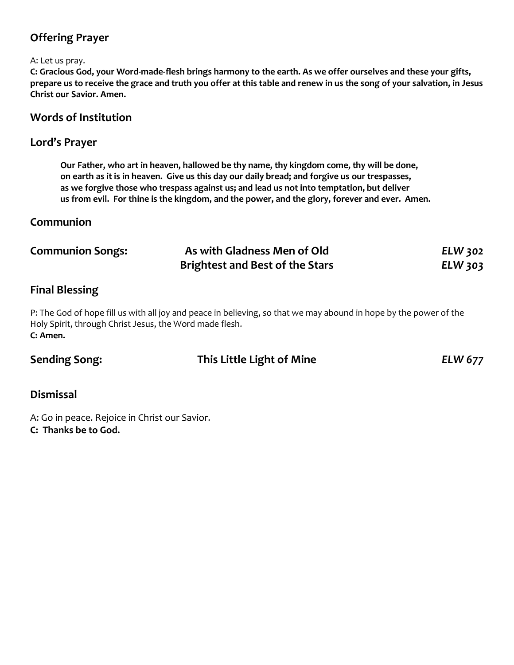# **Offering Prayer**

A: Let us pray.

**C: Gracious God, your Word-made-flesh brings harmony to the earth. As we offer ourselves and these your gifts, prepare us to receive the grace and truth you offer at this table and renew in us the song of your salvation, in Jesus Christ our Savior. Amen.**

#### **Words of Institution**

#### **Lord's Prayer**

**Our Father, who art in heaven, hallowed be thy name, thy kingdom come, thy will be done, on earth as it is in heaven. Give us this day our daily bread; and forgive us our trespasses, as we forgive those who trespass against us; and lead us not into temptation, but deliver us from evil. For thine is the kingdom, and the power, and the glory, forever and ever. Amen.**

## **Communion**

| <b>Communion Songs:</b> | As with Gladness Men of Old            | <b>ELW 302</b> |
|-------------------------|----------------------------------------|----------------|
|                         | <b>Brightest and Best of the Stars</b> | <b>ELW 303</b> |

## **Final Blessing**

P: The God of hope fill us with all joy and peace in believing, so that we may abound in hope by the power of the Holy Spirit, through Christ Jesus, the Word made flesh. **C: Amen.**

| <b>Sending Song:</b> | This Little Light of Mine | <b>ELW 677</b> |
|----------------------|---------------------------|----------------|
|                      |                           |                |

## **Dismissal**

A: Go in peace. Rejoice in Christ our Savior. **C: Thanks be to God.**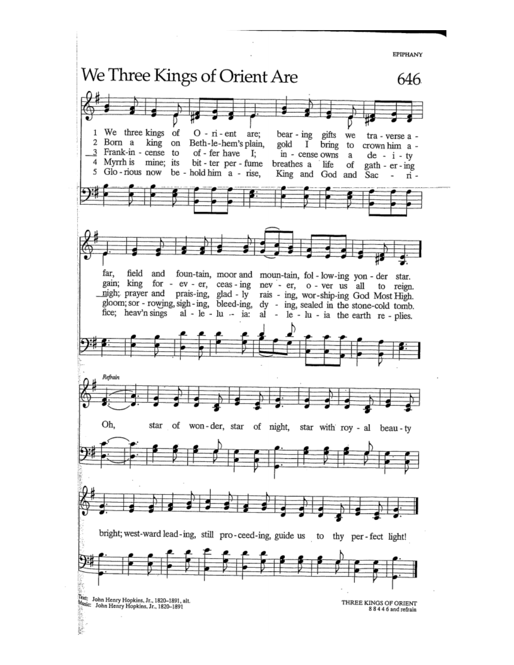**EPIPHANY** 

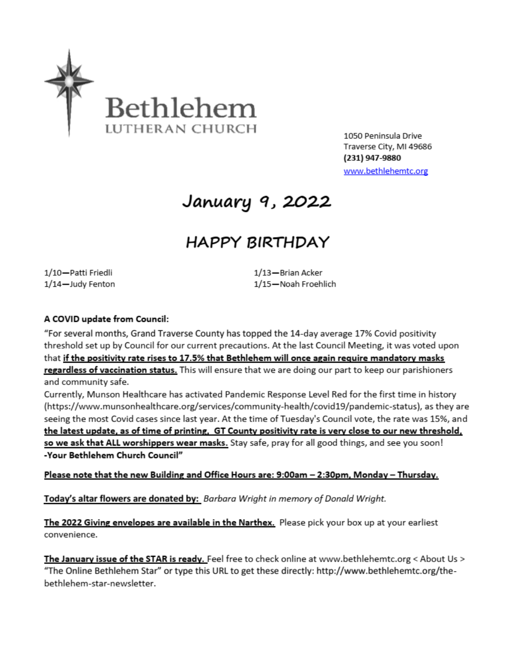

1050 Peninsula Drive Traverse City, MI 49686 (231) 947-9880 www.bethlehemtc.org

# January 9, 2022

# **HAPPY BIRTHDAY**

1/10-Patti Friedli 1/14-Judy Fenton 1/13-Brian Acker 1/15-Noah Froehlich

#### A COVID update from Council:

"For several months, Grand Traverse County has topped the 14-day average 17% Covid positivity threshold set up by Council for our current precautions. At the last Council Meeting, it was voted upon that if the positivity rate rises to 17.5% that Bethlehem will once again require mandatory masks regardless of vaccination status. This will ensure that we are doing our part to keep our parishioners and community safe.

Currently, Munson Healthcare has activated Pandemic Response Level Red for the first time in history (https://www.munsonhealthcare.org/services/community-health/covid19/pandemic-status), as they are seeing the most Covid cases since last year. At the time of Tuesday's Council vote, the rate was 15%, and the latest update, as of time of printing. GT County positivity rate is very close to our new threshold, so we ask that ALL worshippers wear masks. Stay safe, pray for all good things, and see you soon! -Your Bethlehem Church Council"

Please note that the new Building and Office Hours are: 9:00am - 2:30pm, Monday - Thursday.

Today's altar flowers are donated by: Barbara Wright in memory of Donald Wright.

The 2022 Giving envelopes are available in the Narthex. Please pick your box up at your earliest convenience.

The January issue of the STAR is ready. Feel free to check online at www.bethlehemtc.org < About Us > "The Online Bethlehem Star" or type this URL to get these directly: http://www.bethlehemtc.org/thebethlehem-star-newsletter.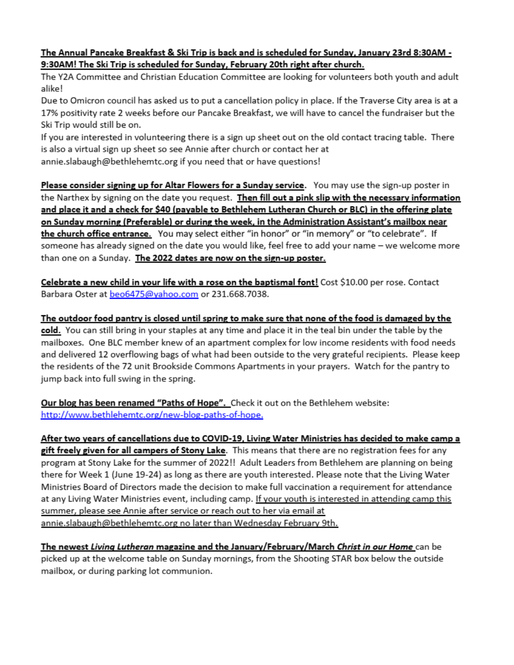#### - The Annual Pancake Breakfast & Ski Trip is back and is scheduled for Sunday, January 23rd 8:30AM 9:30AM! The Ski Trip is scheduled for Sunday, February 20th right after church.

The Y2A Committee and Christian Education Committee are looking for volunteers both youth and adult alike!

Due to Omicron council has asked us to put a cancellation policy in place. If the Traverse City area is at a 17% positivity rate 2 weeks before our Pancake Breakfast, we will have to cancel the fundraiser but the Ski Trip would still be on.

If you are interested in volunteering there is a sign up sheet out on the old contact tracing table. There is also a virtual sign up sheet so see Annie after church or contact her at

annie.slabaugh@bethlehemtc.org if you need that or have questions!

Please consider signing up for Altar Flowers for a Sunday service. You may use the sign-up poster in the Narthex by signing on the date you request. Then fill out a pink slip with the necessary information and place it and a check for \$40 (payable to Bethlehem Lutheran Church or BLC) in the offering plate on Sunday morning (Preferable) or during the week, in the Administration Assistant's mailbox near the church office entrance. You may select either "in honor" or "in memory" or "to celebrate". If someone has already signed on the date you would like, feel free to add your name - we welcome more than one on a Sunday. The 2022 dates are now on the sign-up poster.

Celebrate a new child in your life with a rose on the baptismal font! Cost \$10.00 per rose. Contact Barbara Oster at beo6475@yahoo.com or 231.668.7038.

The outdoor food pantry is closed until spring to make sure that none of the food is damaged by the cold. You can still bring in your staples at any time and place it in the teal bin under the table by the mailboxes. One BLC member knew of an apartment complex for low income residents with food needs and delivered 12 overflowing bags of what had been outside to the very grateful recipients. Please keep the residents of the 72 unit Brookside Commons Apartments in your prayers. Watch for the pantry to jump back into full swing in the spring.

Our blog has been renamed "Paths of Hope". Check it out on the Bethlehem website: http://www.bethlehemtc.org/new-blog-paths-of-hope.

<u>After two years of cancellations due to COVID-19, Living Water Ministries has decided to make camp a</u> gift freely given for all campers of Stony Lake. This means that there are no registration fees for any program at Stony Lake for the summer of 2022!! Adult Leaders from Bethlehem are planning on being there for Week 1 (June 19-24) as long as there are youth interested. Please note that the Living Water Ministries Board of Directors made the decision to make full vaccination a requirement for attendance at any Living Water Ministries event, including camp. If your youth is interested in attending camp this summer, please see Annie after service or reach out to her via email at annie.slabaugh@bethlehemtc.org no later than Wednesday February 9th.

The newest Living Lutheran magazine and the January/February/March Christ in our Home can be picked up at the welcome table on Sunday mornings, from the Shooting STAR box below the outside mailbox, or during parking lot communion.